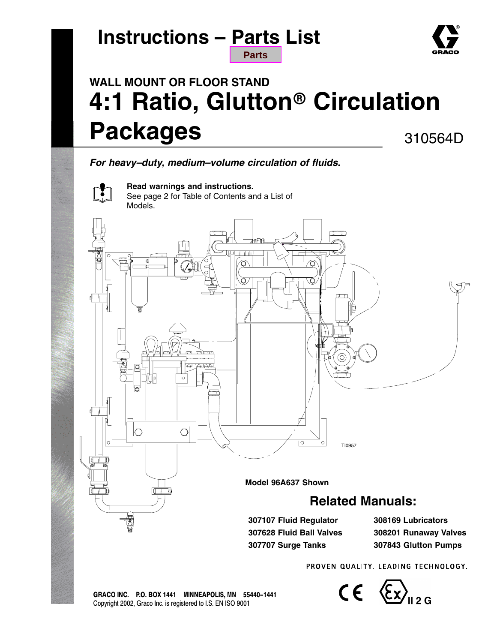# **Instructions – [Parts](#page-15-0) List**



### **WALL MOUNT OR FLOOR STAND 4:1 Ratio, Glutton Circulation Packages** 310564D

**Parts**

*For heavy–duty, medium–volume circulation of fluids.*



**Read warnings and instructions.** See page 2 for Table of Contents and a List of Models.



PROVEN QUALITY, LEADING TECHNOLOGY,

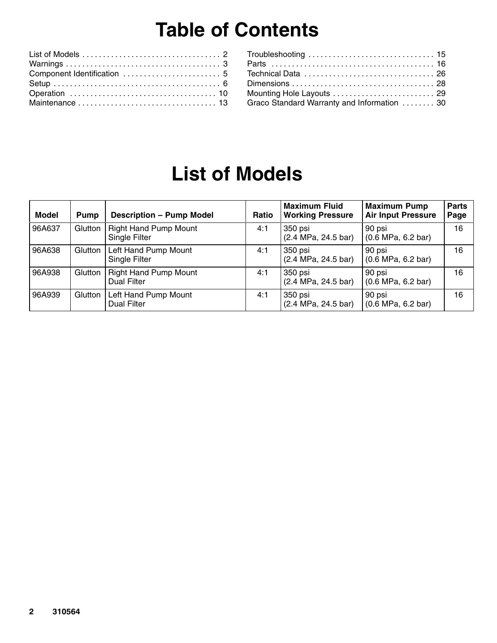# **Table of Contents**

| Graco Standard Warranty and Information  30 |  |
|---------------------------------------------|--|
|                                             |  |

## **List of Models**

| <b>Model</b> | Pump    | <b>Description - Pump Model</b>                    | Ratio | <b>Maximum Fluid</b><br><b>Working Pressure</b> | <b>Maximum Pump</b><br><b>Air Input Pressure</b> | <b>Parts</b><br>Page |
|--------------|---------|----------------------------------------------------|-------|-------------------------------------------------|--------------------------------------------------|----------------------|
| 96A637       | Glutton | <b>Right Hand Pump Mount</b><br>Single Filter      | 4:1   | 350 psi<br>(2.4 MPa, 24.5 bar)                  | 90 psi<br>$(0.6 \text{ MPa}, 6.2 \text{ bar})$   | 16                   |
| 96A638       | Glutton | Left Hand Pump Mount<br>Single Filter              | 4:1   | 350 psi<br>(2.4 MPa, 24.5 bar)                  | 90 psi<br>$(0.6 \text{ MPa}, 6.2 \text{ bar})$   | 16                   |
| 96A938       | Glutton | <b>Right Hand Pump Mount</b><br><b>Dual Filter</b> | 4:1   | 350 psi<br>(2.4 MPa, 24.5 bar)                  | 90 psi<br>$(0.6 \text{ MPa}, 6.2 \text{ bar})$   | 16                   |
| 96A939       | Glutton | Left Hand Pump Mount<br><b>Dual Filter</b>         | 4:1   | 350 psi<br>(2.4 MPa, 24.5 bar)                  | 90 psi<br>$(0.6 \text{ MPa}, 6.2 \text{ bar})$   | 16                   |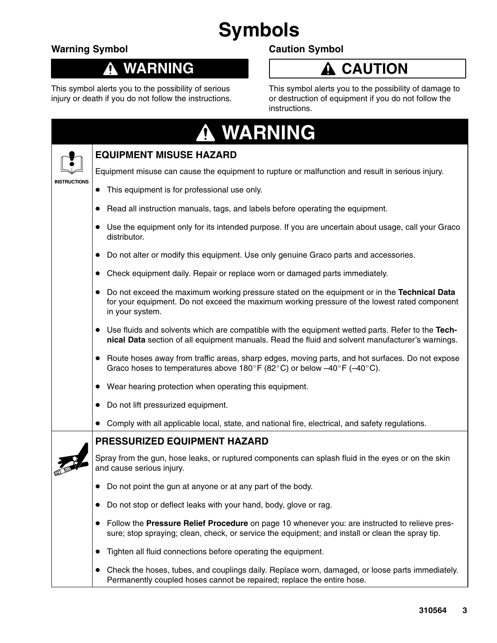# **Symbols**

### **Warning Symbol**

Т

#### **WARNING**  $\boldsymbol{\Lambda}$

This symbol alerts you to the possibility of serious injury or death if you do not follow the instructions.

### **Caution Symbol**

## **A** CAUTION

This symbol alerts you to the possibility of damage to or destruction of equipment if you do not follow the instructions.

| <b>WARNING</b> |  |  |  |  |  |
|----------------|--|--|--|--|--|
|                |  |  |  |  |  |

|                     | <b>EQUIPMENT MISUSE HAZARD</b>                                                                                                                                                                                              |  |
|---------------------|-----------------------------------------------------------------------------------------------------------------------------------------------------------------------------------------------------------------------------|--|
|                     | Equipment misuse can cause the equipment to rupture or malfunction and result in serious injury.                                                                                                                            |  |
| <b>INSTRUCTIONS</b> | This equipment is for professional use only.<br>$\bullet$                                                                                                                                                                   |  |
|                     | Read all instruction manuals, tags, and labels before operating the equipment.<br>$\bullet$                                                                                                                                 |  |
|                     | • Use the equipment only for its intended purpose. If you are uncertain about usage, call your Graco<br>distributor.                                                                                                        |  |
|                     | Do not alter or modify this equipment. Use only genuine Graco parts and accessories.<br>$\bullet$                                                                                                                           |  |
|                     | Check equipment daily. Repair or replace worn or damaged parts immediately.                                                                                                                                                 |  |
|                     | Do not exceed the maximum working pressure stated on the equipment or in the Technical Data<br>$\bullet$<br>for your equipment. Do not exceed the maximum working pressure of the lowest rated component<br>in your system. |  |
|                     | • Use fluids and solvents which are compatible with the equipment wetted parts. Refer to the Tech-<br>nical Data section of all equipment manuals. Read the fluid and solvent manufacturer's warnings.                      |  |
|                     | • Route hoses away from traffic areas, sharp edges, moving parts, and hot surfaces. Do not expose<br>Graco hoses to temperatures above 180°F (82°C) or below $-40^{\circ}$ F (-40°C).                                       |  |
|                     | • Wear hearing protection when operating this equipment.                                                                                                                                                                    |  |
|                     | Do not lift pressurized equipment.<br>$\bullet$                                                                                                                                                                             |  |
|                     | Comply with all applicable local, state, and national fire, electrical, and safety regulations.                                                                                                                             |  |
|                     | <b>PRESSURIZED EQUIPMENT HAZARD</b>                                                                                                                                                                                         |  |
|                     | Spray from the gun, hose leaks, or ruptured components can splash fluid in the eyes or on the skin<br>and cause serious injury.                                                                                             |  |
|                     | Do not point the gun at anyone or at any part of the body.                                                                                                                                                                  |  |
|                     | • Do not stop or deflect leaks with your hand, body, glove or rag.                                                                                                                                                          |  |
|                     | • Follow the Pressure Relief Procedure on page 10 whenever you: are instructed to relieve pres-<br>sure; stop spraying; clean, check, or service the equipment; and install or clean the spray tip.                         |  |
|                     | Tighten all fluid connections before operating the equipment.<br>$\bullet$                                                                                                                                                  |  |
|                     | Check the hoses, tubes, and couplings daily. Replace worn, damaged, or loose parts immediately.<br>$\bullet$<br>Permanently coupled hoses cannot be repaired; replace the entire hose.                                      |  |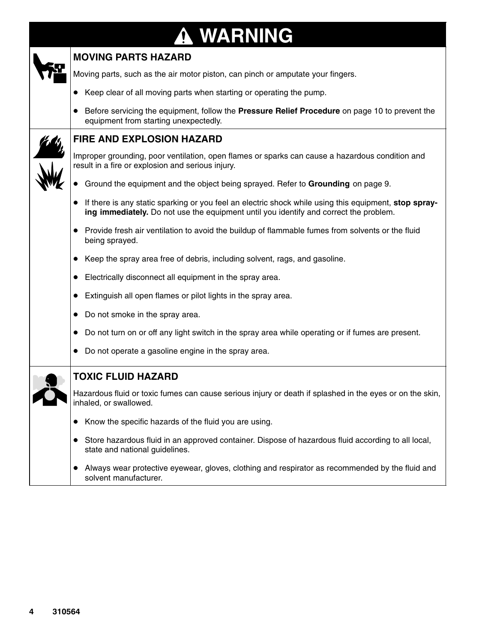# **WARNING**

| <b>MOVING PARTS HAZARD</b>                                                                                                                                                                     |
|------------------------------------------------------------------------------------------------------------------------------------------------------------------------------------------------|
| Moving parts, such as the air motor piston, can pinch or amputate your fingers.                                                                                                                |
| Keep clear of all moving parts when starting or operating the pump.                                                                                                                            |
| Before servicing the equipment, follow the Pressure Relief Procedure on page 10 to prevent the<br>equipment from starting unexpectedly.                                                        |
| <b>FIRE AND EXPLOSION HAZARD</b>                                                                                                                                                               |
| Improper grounding, poor ventilation, open flames or sparks can cause a hazardous condition and<br>result in a fire or explosion and serious injury.                                           |
| Ground the equipment and the object being sprayed. Refer to Grounding on page 9.                                                                                                               |
| If there is any static sparking or you feel an electric shock while using this equipment, stop spray-<br>ing immediately. Do not use the equipment until you identify and correct the problem. |
| Provide fresh air ventilation to avoid the buildup of flammable fumes from solvents or the fluid<br>being sprayed.                                                                             |
| Keep the spray area free of debris, including solvent, rags, and gasoline.                                                                                                                     |
| Electrically disconnect all equipment in the spray area.                                                                                                                                       |
| Extinguish all open flames or pilot lights in the spray area.                                                                                                                                  |
| Do not smoke in the spray area.                                                                                                                                                                |
| Do not turn on or off any light switch in the spray area while operating or if fumes are present.                                                                                              |
| Do not operate a gasoline engine in the spray area.                                                                                                                                            |
| <b>TOXIC FLUID HAZARD</b>                                                                                                                                                                      |
| Hazardous fluid or toxic fumes can cause serious injury or death if splashed in the eyes or on the skin,<br>inhaled, or swallowed.                                                             |
| Know the specific hazards of the fluid you are using.                                                                                                                                          |
| Store hazardous fluid in an approved container. Dispose of hazardous fluid according to all local,<br>state and national guidelines.                                                           |
| Always wear protective eyewear, gloves, clothing and respirator as recommended by the fluid and<br>$\bullet$<br>solvent manufacturer.                                                          |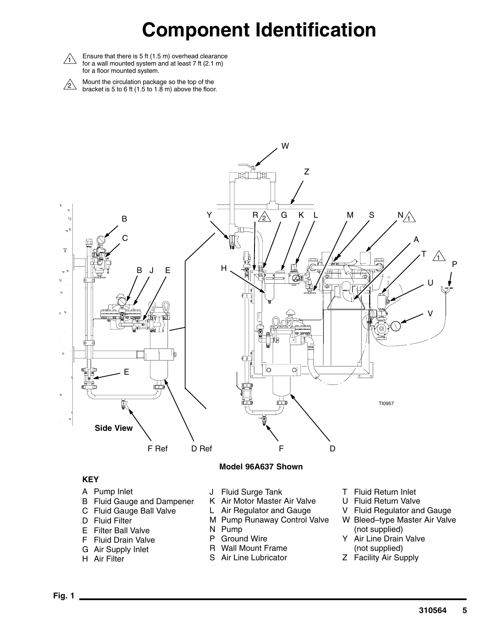## **Component Identification**



 $\triangle$  Ensure that there is 5 ft (1.5 m) overhead clearance for a wall mounted system and at least 7 ft (2.1 m) for a floor mounted system.

 $\sum_{\alpha}$  Mount the circulation package so the top of the<br>bracket is 5 to 6 ft (1.5 to 1.8 m) above the floor.



#### **KEY**

- A Pump Inlet
- B Fluid Gauge and Dampener
- C Fluid Gauge Ball Valve
- D Fluid Filter
- E Filter Ball Valve
- F Fluid Drain Valve
- G Air Supply Inlet
- H Air Filter
- J Fluid Surge Tank
- K Air Motor Master Air Valve
- L Air Regulator and Gauge
- M Pump Runaway Control Valve
- N Pump
- P Ground Wire
- R Wall Mount Frame
- S Air Line Lubricator
- T Fluid Return Inlet
- U Fluid Return Valve
- V Fluid Regulator and Gauge
- W Bleed–type Master Air Valve (not supplied)
- Y Air Line Drain Valve (not supplied)
- Z Facility Air Supply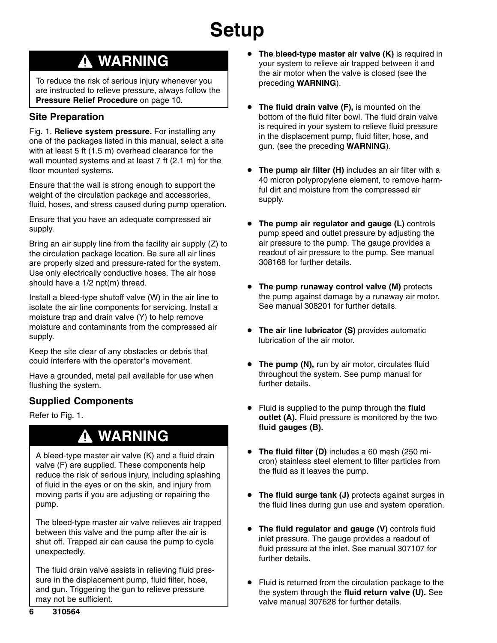### **WARNING**

To reduce the risk of serious injury whenever you are instructed to relieve pressure, always follow the **Pressure Relief Procedure** on page 10.

### **Site Preparation**

Fig. 1. **Relieve system pressure.** For installing any one of the packages listed in this manual, select a site with at least 5 ft (1.5 m) overhead clearance for the wall mounted systems and at least 7 ft (2.1 m) for the floor mounted systems.

Ensure that the wall is strong enough to support the weight of the circulation package and accessories, fluid, hoses, and stress caused during pump operation.

Ensure that you have an adequate compressed air supply.

Bring an air supply line from the facility air supply (Z) to the circulation package location. Be sure all air lines are properly sized and pressure-rated for the system. Use only electrically conductive hoses. The air hose should have a 1/2 npt(m) thread.

Install a bleed-type shutoff valve (W) in the air line to isolate the air line components for servicing. Install a moisture trap and drain valve (Y) to help remove moisture and contaminants from the compressed air supply.

Keep the site clear of any obstacles or debris that could interfere with the operator's movement.

Have a grounded, metal pail available for use when flushing the system.

### **Supplied Components**

Refer to Fig. 1.

## **WARNING**

A bleed-type master air valve (K) and a fluid drain valve (F) are supplied. These components help reduce the risk of serious injury, including splashing of fluid in the eyes or on the skin, and injury from moving parts if you are adjusting or repairing the pump.

The bleed-type master air valve relieves air trapped between this valve and the pump after the air is shut off. Trapped air can cause the pump to cycle unexpectedly.

The fluid drain valve assists in relieving fluid pressure in the displacement pump, fluid filter, hose, and gun. Triggering the gun to relieve pressure may not be sufficient.

- $\bullet$  **The bleed-type master air valve (K)** is required in your system to relieve air trapped between it and the air motor when the valve is closed (see the preceding **WARNING**).
- $\bullet$  **The fluid drain valve (F),** is mounted on the bottom of the fluid filter bowl. The fluid drain valve is required in your system to relieve fluid pressure in the displacement pump, fluid filter, hose, and gun. (see the preceding **WARNING**).
- $\bullet$  **The pump air filter (H)** includes an air filter with a 40 micron polypropylene element, to remove harmful dirt and moisture from the compressed air supply.
- $\bullet$  **The pump air regulator and gauge (L)** controls pump speed and outlet pressure by adjusting the air pressure to the pump. The gauge provides a readout of air pressure to the pump. See manual 308168 for further details.
- **The pump runaway control valve (M)** protects the pump against damage by a runaway air motor. See manual 308201 for further details.
- **The air line lubricator (S)** provides automatic lubrication of the air motor.
- **The pump (N), run by air motor, circulates fluid** throughout the system. See pump manual for further details.
- $\bullet$  Fluid is supplied to the pump through the **fluid outlet (A).** Fluid pressure is monitored by the two **fluid gauges (B).**
- **The fluid filter (D)** includes a 60 mesh (250 micron) stainless steel element to filter particles from the fluid as it leaves the pump.
- $\bullet$  **The fluid surge tank (J)** protects against surges in the fluid lines during gun use and system operation.
- $\bullet$  **The fluid regulator and gauge (V)** controls fluid inlet pressure. The gauge provides a readout of fluid pressure at the inlet. See manual 307107 for further details.
- $\bullet$  Fluid is returned from the circulation package to the the system through the **fluid return valve (U).** See valve manual 307628 for further details.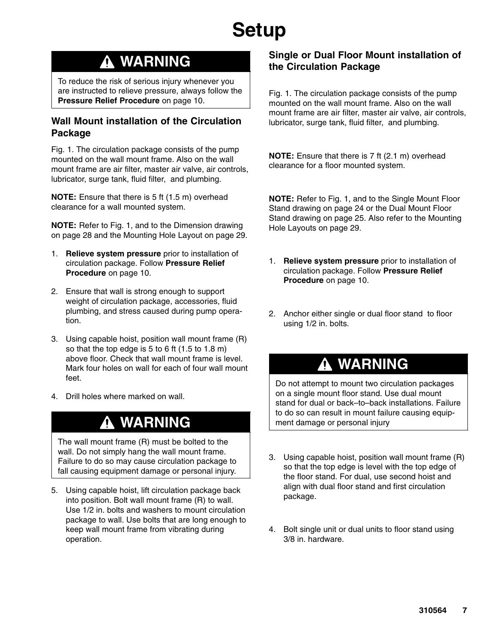## **WARNING**

To reduce the risk of serious injury whenever you are instructed to relieve pressure, always follow the **Pressure Relief Procedure** on page 10.

### **Wall Mount installation of the Circulation Package**

Fig. 1. The circulation package consists of the pump mounted on the wall mount frame. Also on the wall mount frame are air filter, master air valve, air controls, lubricator, surge tank, fluid filter, and plumbing.

**NOTE:** Ensure that there is 5 ft (1.5 m) overhead clearance for a wall mounted system.

**NOTE:** Refer to Fig. 1, and to the Dimension drawing on page 28 and the Mounting Hole Layout on page 29.

- 1. **Relieve system pressure** prior to installation of circulation package. Follow **Pressure Relief Procedure** on page 10.
- 2. Ensure that wall is strong enough to support weight of circulation package, accessories, fluid plumbing, and stress caused during pump operation.
- 3. Using capable hoist, position wall mount frame (R) so that the top edge is 5 to 6 ft (1.5 to 1.8 m) above floor. Check that wall mount frame is level. Mark four holes on wall for each of four wall mount feet.
- 4. Drill holes where marked on wall.

### **WARNING**

The wall mount frame (R) must be bolted to the wall. Do not simply hang the wall mount frame. Failure to do so may cause circulation package to fall causing equipment damage or personal injury.

5. Using capable hoist, lift circulation package back into position. Bolt wall mount frame (R) to wall. Use 1/2 in. bolts and washers to mount circulation package to wall. Use bolts that are long enough to keep wall mount frame from vibrating during operation.

### **Single or Dual Floor Mount installation of the Circulation Package**

Fig. 1. The circulation package consists of the pump mounted on the wall mount frame. Also on the wall mount frame are air filter, master air valve, air controls, lubricator, surge tank, fluid filter, and plumbing.

**NOTE:** Ensure that there is 7 ft (2.1 m) overhead clearance for a floor mounted system.

**NOTE:** Refer to Fig. 1, and to the Single Mount Floor Stand drawing on page 24 or the Dual Mount Floor Stand drawing on page 25. Also refer to the Mounting Hole Layouts on page 29.

- 1. **Relieve system pressure** prior to installation of circulation package. Follow **Pressure Relief Procedure** on page 10.
- 2. Anchor either single or dual floor stand to floor using 1/2 in. bolts.

### **WARNING**

Do not attempt to mount two circulation packages on a single mount floor stand. Use dual mount stand for dual or back–to–back installations. Failure to do so can result in mount failure causing equipment damage or personal injury

- 3. Using capable hoist, position wall mount frame (R) so that the top edge is level with the top edge of the floor stand. For dual, use second hoist and align with dual floor stand and first circulation package.
- 4. Bolt single unit or dual units to floor stand using 3/8 in. hardware.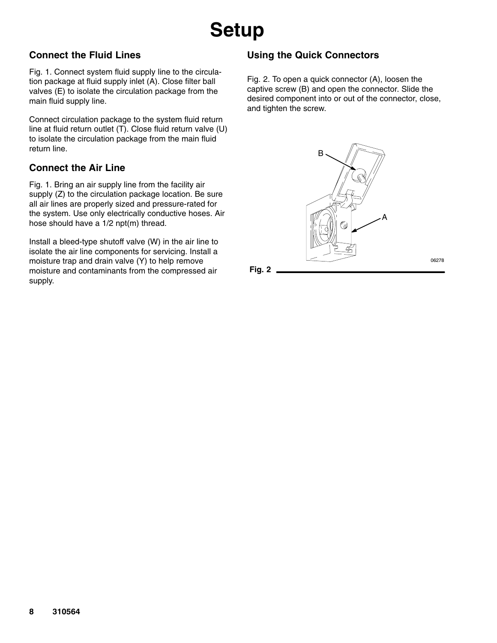### **Connect the Fluid Lines**

Fig. 1. Connect system fluid supply line to the circulation package at fluid supply inlet (A). Close filter ball valves (E) to isolate the circulation package from the main fluid supply line.

Connect circulation package to the system fluid return line at fluid return outlet (T). Close fluid return valve (U) to isolate the circulation package from the main fluid return line.

### **Connect the Air Line**

Fig. 1. Bring an air supply line from the facility air supply (Z) to the circulation package location. Be sure all air lines are properly sized and pressure-rated for the system. Use only electrically conductive hoses. Air hose should have a 1/2 npt(m) thread.

Install a bleed-type shutoff valve (W) in the air line to isolate the air line components for servicing. Install a moisture trap and drain valve (Y) to help remove moisture and contaminants from the compressed air supply.

### **Using the Quick Connectors**

Fig. 2. To open a quick connector (A), loosen the captive screw (B) and open the connector. Slide the desired component into or out of the connector, close, and tighten the screw.



06278

**Fig. 2**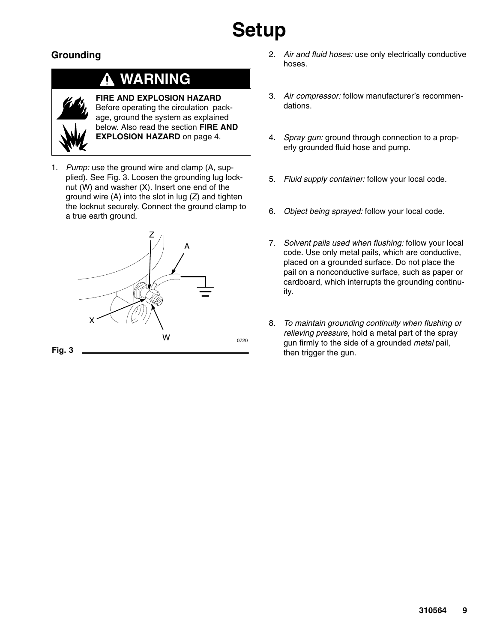### **Grounding**

## **WARNING**



**FIRE AND EXPLOSION HAZARD** Before operating the circulation package, ground the system as explained below. Also read the section **FIRE AND EXPLOSION HAZARD** on page 4.

1. *Pump:* use the ground wire and clamp (A, supplied). See Fig. 3. Loosen the grounding lug locknut (W) and washer (X). Insert one end of the ground wire (A) into the slot in lug (Z) and tighten the locknut securely. Connect the ground clamp to a true earth ground.



- 2. *Air and fluid hoses:* use only electrically conductive hoses.
- 3. *Air compressor:* follow manufacturer's recommendations.
- 4. *Spray gun:* ground through connection to a properly grounded fluid hose and pump.
- 5. *Fluid supply container:* follow your local code.
- 6. *Object being sprayed:* follow your local code.
- 7. *Solvent pails used when flushing:* follow your local code. Use only metal pails, which are conductive, placed on a grounded surface. Do not place the pail on a nonconductive surface, such as paper or cardboard, which interrupts the grounding continuity.
- 8. *To maintain grounding continuity when flushing or relieving pressure*, hold a metal part of the spray gun firmly to the side of a grounded *metal* pail, then trigger the gun.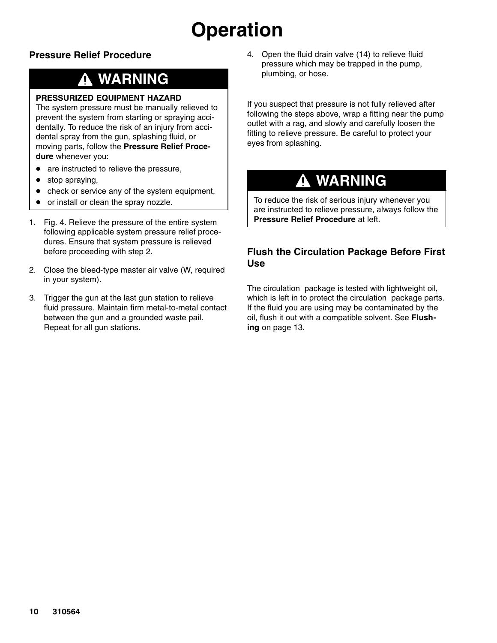# **Operation**

### **Pressure Relief Procedure**

## **WARNING**

#### **PRESSURIZED EQUIPMENT HAZARD**

The system pressure must be manually relieved to prevent the system from starting or spraying accidentally. To reduce the risk of an injury from accidental spray from the gun, splashing fluid, or moving parts, follow the **Pressure Relief Procedure** whenever you:

- $\bullet$ are instructed to relieve the pressure,
- $\bullet$ stop spraying,
- $\bullet$ check or service any of the system equipment,
- $\bullet$ or install or clean the spray nozzle.
- 1. Fig. 4. Relieve the pressure of the entire system following applicable system pressure relief procedures. Ensure that system pressure is relieved before proceeding with step 2.
- 2. Close the bleed-type master air valve (W, required in your system).
- 3. Trigger the gun at the last gun station to relieve fluid pressure. Maintain firm metal-to-metal contact between the gun and a grounded waste pail. Repeat for all gun stations.

4. Open the fluid drain valve (14) to relieve fluid pressure which may be trapped in the pump, plumbing, or hose.

If you suspect that pressure is not fully relieved after following the steps above, wrap a fitting near the pump outlet with a rag, and slowly and carefully loosen the fitting to relieve pressure. Be careful to protect your eyes from splashing.

## **WARNING**

To reduce the risk of serious injury whenever you are instructed to relieve pressure, always follow the **Pressure Relief Procedure** at left.

### **Flush the Circulation Package Before First Use**

The circulation package is tested with lightweight oil, which is left in to protect the circulation package parts. If the fluid you are using may be contaminated by the oil, flush it out with a compatible solvent. See **Flushing** on page 13.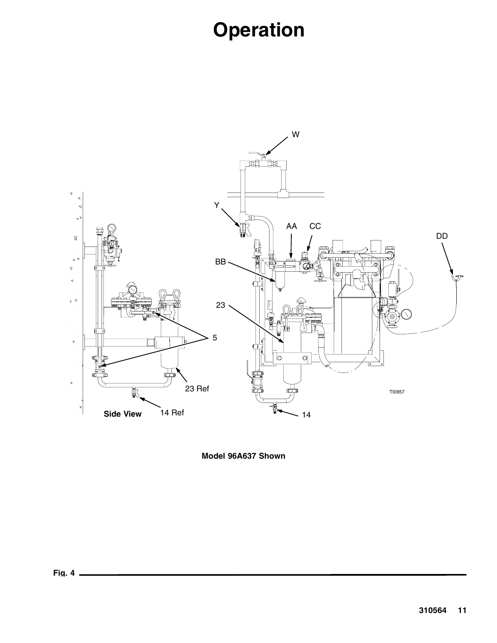# **Operation**



**Model 96A637 Shown**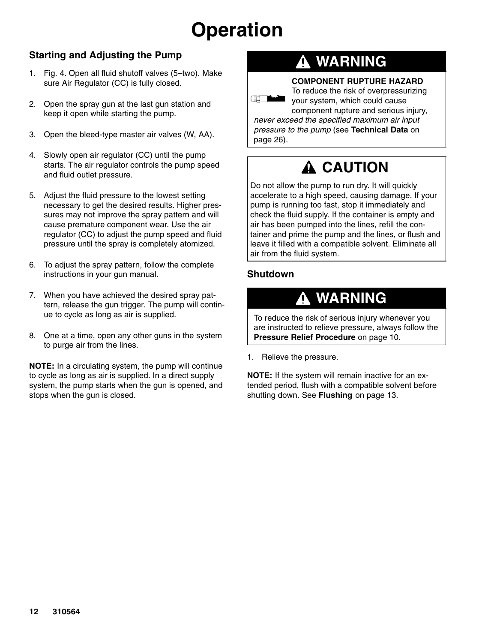# **Operation**

### **Starting and Adjusting the Pump**

- 1. Fig. 4. Open all fluid shutoff valves (5–two). Make sure Air Regulator (CC) is fully closed.
- 2. Open the spray gun at the last gun station and keep it open while starting the pump.
- 3. Open the bleed-type master air valves (W, AA).
- 4. Slowly open air regulator (CC) until the pump starts. The air regulator controls the pump speed and fluid outlet pressure.
- 5. Adjust the fluid pressure to the lowest setting necessary to get the desired results. Higher pressures may not improve the spray pattern and will cause premature component wear. Use the air regulator (CC) to adjust the pump speed and fluid pressure until the spray is completely atomized.
- 6. To adjust the spray pattern, follow the complete instructions in your gun manual.
- 7. When you have achieved the desired spray pattern, release the gun trigger. The pump will continue to cycle as long as air is supplied.
- 8. One at a time, open any other guns in the system to purge air from the lines.

**NOTE:** In a circulating system, the pump will continue to cycle as long as air is supplied. In a direct supply system, the pump starts when the gun is opened, and stops when the gun is closed.

## **WARNING**

### **COMPONENT RUPTURE HAZARD**



To reduce the risk of overpressurizing

your system, which could cause component rupture and serious injury, *never exceed the specified maximum air input pressure to the pump* (see **Technical Data** on page 26).

## **A CAUTION**

Do not allow the pump to run dry. It will quickly accelerate to a high speed, causing damage. If your pump is running too fast, stop it immediately and check the fluid supply. If the container is empty and air has been pumped into the lines, refill the container and prime the pump and the lines, or flush and leave it filled with a compatible solvent. Eliminate all air from the fluid system.

### **Shutdown**

## **WARNING**

To reduce the risk of serious injury whenever you are instructed to relieve pressure, always follow the **Pressure Relief Procedure** on page 10.

1. Relieve the pressure.

**NOTE:** If the system will remain inactive for an extended period, flush with a compatible solvent before shutting down. See **Flushing** on page 13.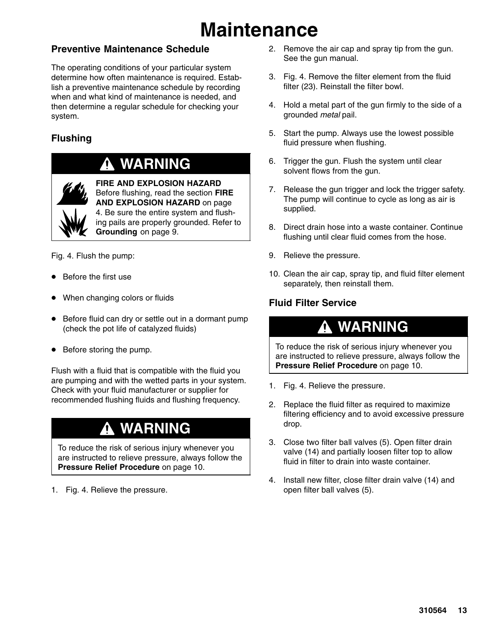# **Maintenance**

### **Preventive Maintenance Schedule**

The operating conditions of your particular system determine how often maintenance is required. Establish a preventive maintenance schedule by recording when and what kind of maintenance is needed, and then determine a regular schedule for checking your system.

### **Flushing**

### **WARNING**



**FIRE AND EXPLOSION HAZARD** Before flushing, read the section **FIRE AND EXPLOSION HAZARD** on page 4. Be sure the entire system and flushing pails are properly grounded. Refer to **Grounding** on page 9.

Fig. 4. Flush the pump:

- $\bullet$ Before the first use
- $\bullet$ When changing colors or fluids
- $\bullet$  Before fluid can dry or settle out in a dormant pump (check the pot life of catalyzed fluids)
- Before storing the pump.

Flush with a fluid that is compatible with the fluid you are pumping and with the wetted parts in your system. Check with your fluid manufacturer or supplier for recommended flushing fluids and flushing frequency.

### **WARNING**

To reduce the risk of serious injury whenever you are instructed to relieve pressure, always follow the **Pressure Relief Procedure** on page 10.

1. Fig. 4. Relieve the pressure.

- 2. Remove the air cap and spray tip from the gun. See the gun manual.
- 3. Fig. 4. Remove the filter element from the fluid filter (23). Reinstall the filter bowl.
- 4. Hold a metal part of the gun firmly to the side of a grounded *metal* pail.
- 5. Start the pump. Always use the lowest possible fluid pressure when flushing.
- 6. Trigger the gun. Flush the system until clear solvent flows from the gun.
- 7. Release the gun trigger and lock the trigger safety. The pump will continue to cycle as long as air is supplied.
- 8. Direct drain hose into a waste container. Continue flushing until clear fluid comes from the hose.
- 9. Relieve the pressure.
- 10. Clean the air cap, spray tip, and fluid filter element separately, then reinstall them.

### **Fluid Filter Service**

### **WARNING**

To reduce the risk of serious injury whenever you are instructed to relieve pressure, always follow the **Pressure Relief Procedure** on page 10.

- 1. Fig. 4. Relieve the pressure.
- 2. Replace the fluid filter as required to maximize filtering efficiency and to avoid excessive pressure drop.
- 3. Close two filter ball valves (5). Open filter drain valve (14) and partially loosen filter top to allow fluid in filter to drain into waste container.
- 4. Install new filter, close filter drain valve (14) and open filter ball valves (5).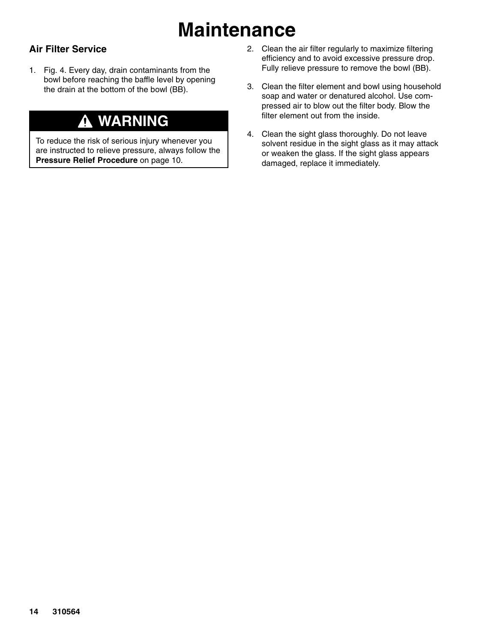# **Maintenance**

### **Air Filter Service**

1. Fig. 4. Every day, drain contaminants from the bowl before reaching the baffle level by opening the drain at the bottom of the bowl (BB).

## **WARNING**

To reduce the risk of serious injury whenever you are instructed to relieve pressure, always follow the **Pressure Relief Procedure** on page 10.

- 2. Clean the air filter regularly to maximize filtering efficiency and to avoid excessive pressure drop. Fully relieve pressure to remove the bowl (BB).
- 3. Clean the filter element and bowl using household soap and water or denatured alcohol. Use compressed air to blow out the filter body. Blow the filter element out from the inside.
- 4. Clean the sight glass thoroughly. Do not leave solvent residue in the sight glass as it may attack or weaken the glass. If the sight glass appears damaged, replace it immediately.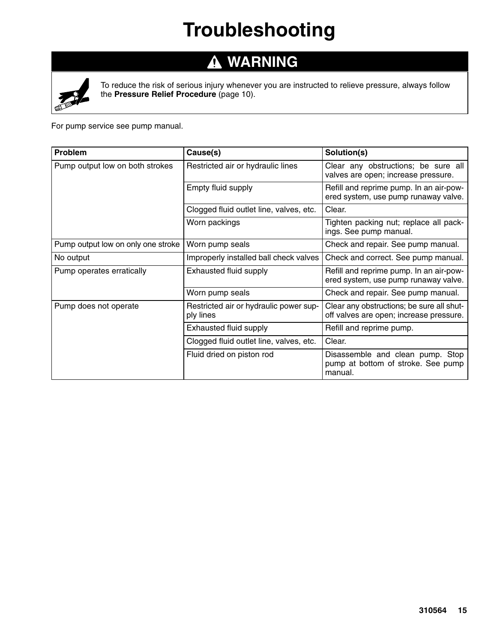# **Troubleshooting**

#### **WARNING**  $\blacktriangle$



To reduce the risk of serious injury whenever you are instructed to relieve pressure, always follow the **Pressure Relief Procedure** (page 10).

For pump service see pump manual.

| <b>Problem</b>                     | Cause(s)                                            | Solution(s)                                                                          |
|------------------------------------|-----------------------------------------------------|--------------------------------------------------------------------------------------|
| Pump output low on both strokes    | Restricted air or hydraulic lines                   | Clear any obstructions; be sure all<br>valves are open; increase pressure.           |
|                                    | Empty fluid supply                                  | Refill and reprime pump. In an air-pow-<br>ered system, use pump runaway valve.      |
|                                    | Clogged fluid outlet line, valves, etc.             | Clear.                                                                               |
|                                    | Worn packings                                       | Tighten packing nut; replace all pack-<br>ings. See pump manual.                     |
| Pump output low on only one stroke | Worn pump seals                                     | Check and repair. See pump manual.                                                   |
| No output                          | Improperly installed ball check valves              | Check and correct. See pump manual.                                                  |
| Pump operates erratically          | Exhausted fluid supply                              | Refill and reprime pump. In an air-pow-<br>ered system, use pump runaway valve.      |
|                                    | Worn pump seals                                     | Check and repair. See pump manual.                                                   |
| Pump does not operate              | Restricted air or hydraulic power sup-<br>ply lines | Clear any obstructions; be sure all shut-<br>off valves are open; increase pressure. |
|                                    | Exhausted fluid supply                              | Refill and reprime pump.                                                             |
|                                    | Clogged fluid outlet line, valves, etc.             | Clear.                                                                               |
|                                    | Fluid dried on piston rod                           | Disassemble and clean pump. Stop<br>pump at bottom of stroke. See pump<br>manual.    |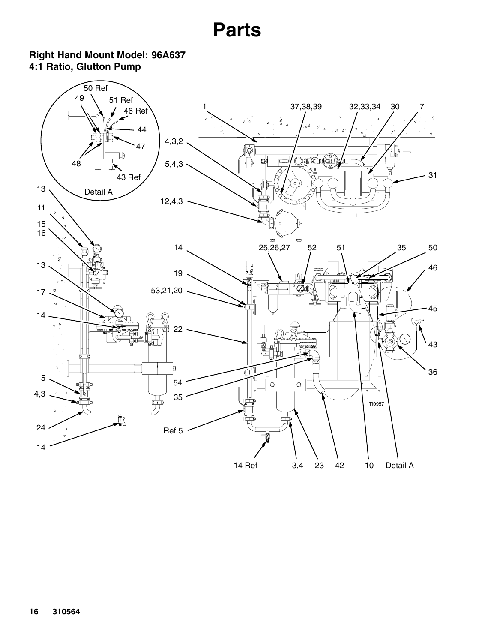### <span id="page-15-0"></span>**Right Hand Mount Model: 96A637 4:1 Ratio, Glutton Pump**

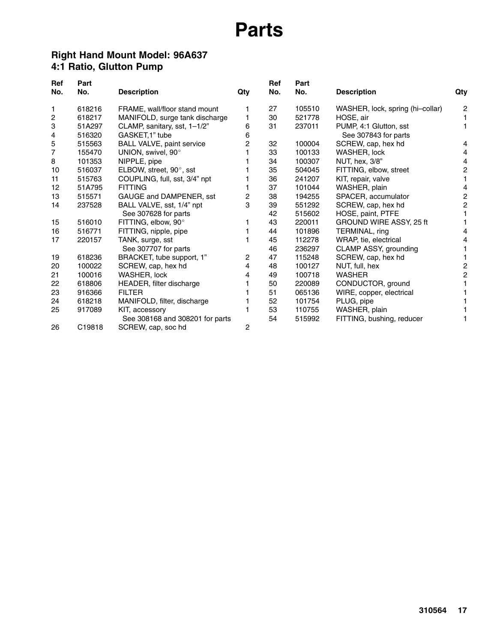### **Right Hand Mount Model: 96A637 4:1 Ratio, Glutton Pump**

| Ref | Part   |                                  |     | Ref | Part   |                                  |                |
|-----|--------|----------------------------------|-----|-----|--------|----------------------------------|----------------|
| No. | No.    | <b>Description</b>               | Qty | No. | No.    | <b>Description</b>               | Qty            |
| 1   | 618216 | FRAME, wall/floor stand mount    |     | 27  | 105510 | WASHER, lock, spring (hi-collar) | 2              |
| 2   | 618217 | MANIFOLD, surge tank discharge   | 1   | 30  | 521778 | HOSE, air                        |                |
| 3   | 51A297 | CLAMP, sanitary, sst, 1-1/2"     | 6   | 31  | 237011 | PUMP, 4:1 Glutton, sst           |                |
| 4   | 516320 | GASKET, 1" tube                  | 6   |     |        | See 307843 for parts             |                |
| 5   | 515563 | <b>BALL VALVE, paint service</b> | 2   | 32  | 100004 | SCREW, cap, hex hd               | 4              |
| 7   | 155470 | UNION, swivel, 90°               |     | 33  | 100133 | WASHER, lock                     | 4              |
| 8   | 101353 | NIPPLE, pipe                     |     | 34  | 100307 | NUT, hex, 3/8"                   | 4              |
| 10  | 516037 | ELBOW, street, 90°, sst          |     | 35  | 504045 | FITTING, elbow, street           | 2              |
| 11  | 515763 | COUPLING, full, sst, 3/4" npt    |     | 36  | 241207 | KIT, repair, valve               |                |
| 12  | 51A795 | <b>FITTING</b>                   |     | 37  | 101044 | WASHER, plain                    | 4              |
| 13  | 515571 | GAUGE and DAMPENER, sst          | 2   | 38  | 194255 | SPACER, accumulator              | $\overline{c}$ |
| 14  | 237528 | BALL VALVE, sst, 1/4" npt        | 3   | 39  | 551292 | SCREW, cap, hex hd               | $\overline{c}$ |
|     |        | See 307628 for parts             |     | 42  | 515602 | HOSE, paint, PTFE                |                |
| 15  | 516010 | FITTING, elbow, 90°              |     | 43  | 220011 | GROUND WIRE ASSY, 25 ft          |                |
| 16  | 516771 | FITTING, nipple, pipe            |     | 44  | 101896 | TERMINAL, ring                   | 4              |
| 17  | 220157 | TANK, surge, sst                 |     | 45  | 112278 | WRAP, tie, electrical            | 4              |
|     |        | See 307707 for parts             |     | 46  | 236297 | CLAMP ASSY, grounding            |                |
| 19  | 618236 | BRACKET, tube support, 1"        | 2   | 47  | 115248 | SCREW, cap, hex hd               |                |
| 20  | 100022 | SCREW, cap, hex hd               | 4   | 48  | 100127 | NUT, full, hex                   | 2              |
| 21  | 100016 | WASHER, lock                     | 4   | 49  | 100718 | <b>WASHER</b>                    | $\overline{c}$ |
| 22  | 618806 | HEADER, filter discharge         |     | 50  | 220089 | CONDUCTOR, ground                |                |
| 23  | 916366 | <b>FILTER</b>                    |     | 51  | 065136 | WIRE, copper, electrical         |                |
| 24  | 618218 | MANIFOLD, filter, discharge      |     | 52  | 101754 | PLUG, pipe                       |                |
| 25  | 917089 | KIT, accessory                   |     | 53  | 110755 | WASHER, plain                    |                |
|     |        | See 308168 and 308201 for parts  |     | 54  | 515992 | FITTING, bushing, reducer        |                |
| 26  | C19818 | SCREW, cap, soc hd               | 2   |     |        |                                  |                |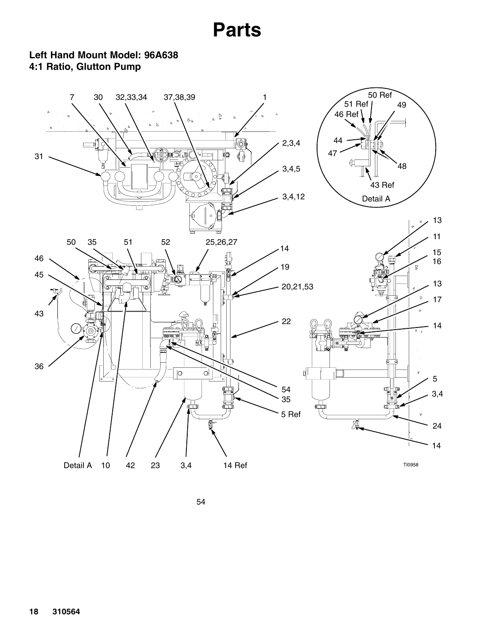### **Left Hand Mount Model: 96A638 4:1 Ratio, Glutton Pump**

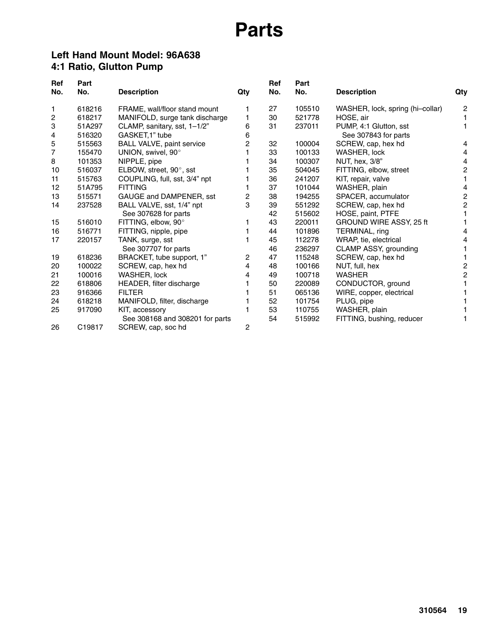### **Left Hand Mount Model: 96A638 4:1 Ratio, Glutton Pump**

| Ref | Part   |                                  |     | Ref | Part   |                                  |                |
|-----|--------|----------------------------------|-----|-----|--------|----------------------------------|----------------|
| No. | No.    | <b>Description</b>               | Qty | No. | No.    | <b>Description</b>               | Qty            |
| 1   | 618216 | FRAME, wall/floor stand mount    |     | 27  | 105510 | WASHER, lock, spring (hi-collar) | $\overline{c}$ |
| 2   | 618217 | MANIFOLD, surge tank discharge   | 1   | 30  | 521778 | HOSE, air                        |                |
| 3   | 51A297 | CLAMP, sanitary, sst, 1-1/2"     | 6   | 31  | 237011 | PUMP, 4:1 Glutton, sst           |                |
| 4   | 516320 | GASKET, 1" tube                  | 6   |     |        | See 307843 for parts             |                |
| 5   | 515563 | <b>BALL VALVE, paint service</b> | 2   | 32  | 100004 | SCREW, cap, hex hd               | 4              |
| 7   | 155470 | UNION, swivel, 90°               |     | 33  | 100133 | WASHER, lock                     | 4              |
| 8   | 101353 | NIPPLE, pipe                     |     | 34  | 100307 | NUT, hex, 3/8"                   | 4              |
| 10  | 516037 | ELBOW, street, 90°, sst          |     | 35  | 504045 | FITTING, elbow, street           | 2              |
| 11  | 515763 | COUPLING, full, sst, 3/4" npt    |     | 36  | 241207 | KIT, repair, valve               |                |
| 12  | 51A795 | <b>FITTING</b>                   |     | 37  | 101044 | WASHER, plain                    | 4              |
| 13  | 515571 | GAUGE and DAMPENER, sst          | 2   | 38  | 194255 | SPACER, accumulator              | $\overline{c}$ |
| 14  | 237528 | BALL VALVE, sst, 1/4" npt        | 3   | 39  | 551292 | SCREW, cap, hex hd               | 2              |
|     |        | See 307628 for parts             |     | 42  | 515602 | HOSE, paint, PTFE                |                |
| 15  | 516010 | FITTING, elbow, 90°              |     | 43  | 220011 | GROUND WIRE ASSY, 25 ft          |                |
| 16  | 516771 | FITTING, nipple, pipe            |     | 44  | 101896 | TERMINAL, ring                   | 4              |
| 17  | 220157 | TANK, surge, sst                 |     | 45  | 112278 | WRAP, tie, electrical            | 4              |
|     |        | See 307707 for parts             |     | 46  | 236297 | CLAMP ASSY, grounding            |                |
| 19  | 618236 | BRACKET, tube support, 1"        | 2   | 47  | 115248 | SCREW, cap, hex hd               |                |
| 20  | 100022 | SCREW, cap, hex hd               | 4   | 48  | 100166 | NUT, full, hex                   | $\overline{c}$ |
| 21  | 100016 | WASHER, lock                     | 4   | 49  | 100718 | <b>WASHER</b>                    | $\overline{c}$ |
| 22  | 618806 | HEADER, filter discharge         |     | 50  | 220089 | CONDUCTOR, ground                |                |
| 23  | 916366 | <b>FILTER</b>                    |     | 51  | 065136 | WIRE, copper, electrical         |                |
| 24  | 618218 | MANIFOLD, filter, discharge      |     | 52  | 101754 | PLUG, pipe                       |                |
| 25  | 917090 | KIT, accessory                   |     | 53  | 110755 | WASHER, plain                    |                |
|     |        | See 308168 and 308201 for parts  |     | 54  | 515992 | FITTING, bushing, reducer        |                |
| 26  | C19817 | SCREW, cap, soc hd               | 2   |     |        |                                  |                |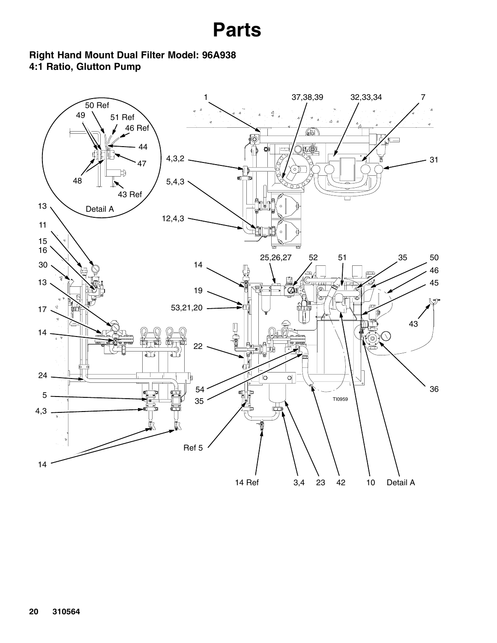### **Right Hand Mount Dual Filter Model: 96A938 4:1 Ratio, Glutton Pump**

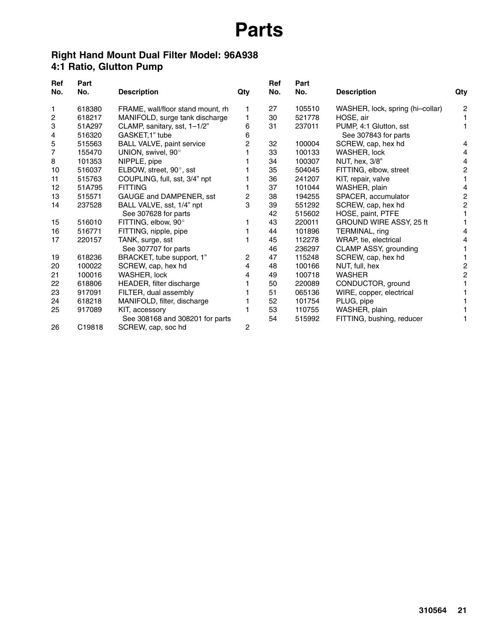### **Right Hand Mount Dual Filter Model: 96A938 4:1 Ratio, Glutton Pump**

| Ref | Part   |                                   |     | Ref | Part   |                                  |                |
|-----|--------|-----------------------------------|-----|-----|--------|----------------------------------|----------------|
| No. | No.    | <b>Description</b>                | Qty | No. | No.    | <b>Description</b>               | Qty            |
| 1   | 618380 | FRAME, wall/floor stand mount, rh |     | 27  | 105510 | WASHER, lock, spring (hi-collar) | $\overline{c}$ |
| 2   | 618217 | MANIFOLD, surge tank discharge    |     | 30  | 521778 | HOSE, air                        |                |
| 3   | 51A297 | CLAMP, sanitary, sst, 1-1/2"      | 6   | 31  | 237011 | PUMP, 4:1 Glutton, sst           |                |
| 4   | 516320 | GASKET, 1" tube                   | 6   |     |        | See 307843 for parts             |                |
| 5   | 515563 | <b>BALL VALVE, paint service</b>  | 2   | 32  | 100004 | SCREW, cap, hex hd               | 4              |
| 7   | 155470 | UNION, swivel, 90°                |     | 33  | 100133 | WASHER, lock                     | 4              |
| 8   | 101353 | NIPPLE, pipe                      |     | 34  | 100307 | NUT, hex, 3/8"                   | 4              |
| 10  | 516037 | ELBOW, street, 90°, sst           |     | 35  | 504045 | FITTING, elbow, street           | 2              |
| 11  | 515763 | COUPLING, full, sst, 3/4" npt     |     | 36  | 241207 | KIT, repair, valve               |                |
| 12  | 51A795 | <b>FITTING</b>                    |     | 37  | 101044 | WASHER, plain                    | 4              |
| 13  | 515571 | GAUGE and DAMPENER, sst           | 2   | 38  | 194255 | SPACER, accumulator              | 2              |
| 14  | 237528 | BALL VALVE, sst, 1/4" npt         | 3   | 39  | 551292 | SCREW, cap, hex hd               | 2              |
|     |        | See 307628 for parts              |     | 42  | 515602 | HOSE, paint, PTFE                |                |
| 15  | 516010 | FITTING, elbow, 90°               |     | 43  | 220011 | GROUND WIRE ASSY, 25 ft          |                |
| 16  | 516771 | FITTING, nipple, pipe             |     | 44  | 101896 | TERMINAL, ring                   | 4              |
| 17  | 220157 | TANK, surge, sst                  |     | 45  | 112278 | WRAP, tie, electrical            | 4              |
|     |        | See 307707 for parts              |     | 46  | 236297 | CLAMP ASSY, grounding            |                |
| 19  | 618236 | BRACKET, tube support, 1"         | 2   | 47  | 115248 | SCREW, cap, hex hd               |                |
| 20  | 100022 | SCREW, cap, hex hd                | 4   | 48  | 100166 | NUT, full, hex                   | 2              |
| 21  | 100016 | WASHER, lock                      | 4   | 49  | 100718 | <b>WASHER</b>                    | $\overline{c}$ |
| 22  | 618806 | HEADER, filter discharge          |     | 50  | 220089 | CONDUCTOR, ground                |                |
| 23  | 917091 | FILTER, dual assembly             |     | 51  | 065136 | WIRE, copper, electrical         |                |
| 24  | 618218 | MANIFOLD, filter, discharge       |     | 52  | 101754 | PLUG, pipe                       |                |
| 25  | 917089 | KIT, accessory                    |     | 53  | 110755 | WASHER, plain                    |                |
|     |        | See 308168 and 308201 for parts   |     | 54  | 515992 | FITTING, bushing, reducer        |                |
| 26  | C19818 | SCREW, cap, soc hd                | 2   |     |        |                                  |                |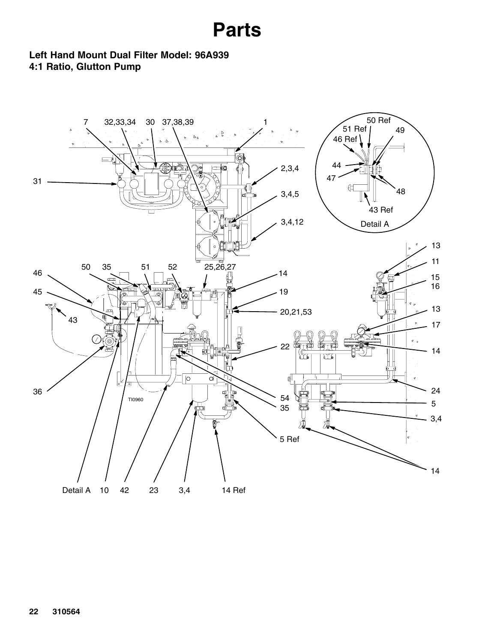### **Left Hand Mount Dual Filter Model: 96A939 4:1 Ratio, Glutton Pump**

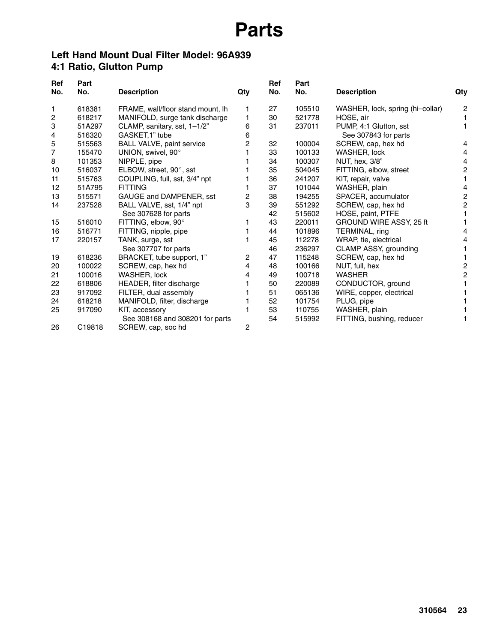### **Left Hand Mount Dual Filter Model: 96A939 4:1 Ratio, Glutton Pump**

| Ref | Part   |                                   |     | Ref | Part   |                                  |                |
|-----|--------|-----------------------------------|-----|-----|--------|----------------------------------|----------------|
| No. | No.    | <b>Description</b>                | Qty | No. | No.    | <b>Description</b>               | Qty            |
| 1   | 618381 | FRAME, wall/floor stand mount, lh |     | 27  | 105510 | WASHER, lock, spring (hi-collar) | $\overline{c}$ |
| 2   | 618217 | MANIFOLD, surge tank discharge    |     | 30  | 521778 | HOSE, air                        |                |
| 3   | 51A297 | CLAMP, sanitary, sst, 1-1/2"      | 6   | 31  | 237011 | PUMP, 4:1 Glutton, sst           |                |
| 4   | 516320 | GASKET, 1" tube                   | 6   |     |        | See 307843 for parts             |                |
| 5   | 515563 | <b>BALL VALVE, paint service</b>  | 2   | 32  | 100004 | SCREW, cap, hex hd               | 4              |
| 7   | 155470 | UNION, swivel, 90°                |     | 33  | 100133 | WASHER, lock                     | 4              |
| 8   | 101353 | NIPPLE, pipe                      |     | 34  | 100307 | NUT, hex, 3/8"                   | 4              |
| 10  | 516037 | ELBOW, street, 90°, sst           |     | 35  | 504045 | FITTING, elbow, street           | 2              |
| 11  | 515763 | COUPLING, full, sst, 3/4" npt     |     | 36  | 241207 | KIT, repair, valve               |                |
| 12  | 51A795 | <b>FITTING</b>                    |     | 37  | 101044 | WASHER, plain                    | 4              |
| 13  | 515571 | GAUGE and DAMPENER, sst           | 2   | 38  | 194255 | SPACER, accumulator              | 2              |
| 14  | 237528 | BALL VALVE, sst, 1/4" npt         | 3   | 39  | 551292 | SCREW, cap, hex hd               | 2              |
|     |        | See 307628 for parts              |     | 42  | 515602 | HOSE, paint, PTFE                |                |
| 15  | 516010 | FITTING, elbow, 90°               |     | 43  | 220011 | GROUND WIRE ASSY, 25 ft          |                |
| 16  | 516771 | FITTING, nipple, pipe             |     | 44  | 101896 | TERMINAL, ring                   | 4              |
| 17  | 220157 | TANK, surge, sst                  |     | 45  | 112278 | WRAP, tie, electrical            | 4              |
|     |        | See 307707 for parts              |     | 46  | 236297 | CLAMP ASSY, grounding            |                |
| 19  | 618236 | BRACKET, tube support, 1"         | 2   | 47  | 115248 | SCREW, cap, hex hd               |                |
| 20  | 100022 | SCREW, cap, hex hd                | 4   | 48  | 100166 | NUT, full, hex                   | 2              |
| 21  | 100016 | WASHER, lock                      | 4   | 49  | 100718 | <b>WASHER</b>                    | $\overline{c}$ |
| 22  | 618806 | HEADER, filter discharge          |     | 50  | 220089 | CONDUCTOR, ground                |                |
| 23  | 917092 | FILTER, dual assembly             |     | 51  | 065136 | WIRE, copper, electrical         |                |
| 24  | 618218 | MANIFOLD, filter, discharge       |     | 52  | 101754 | PLUG, pipe                       |                |
| 25  | 917090 | KIT, accessory                    |     | 53  | 110755 | WASHER, plain                    |                |
|     |        | See 308168 and 308201 for parts   |     | 54  | 515992 | FITTING, bushing, reducer        |                |
| 26  | C19818 | SCREW, cap, soc hd                | 2   |     |        |                                  |                |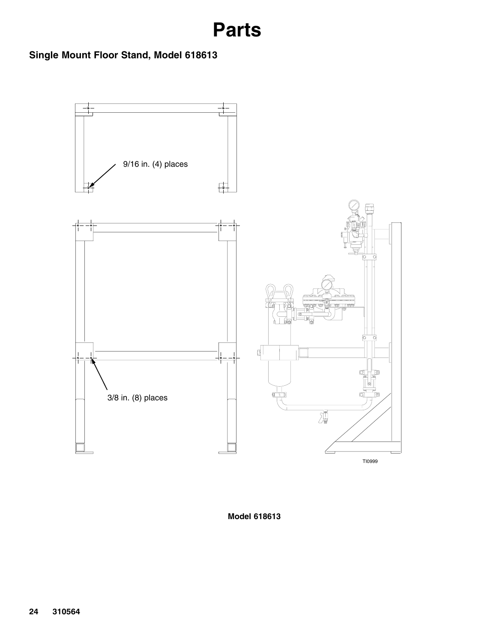### **Single Mount Floor Stand, Model 618613**



**Model 618613**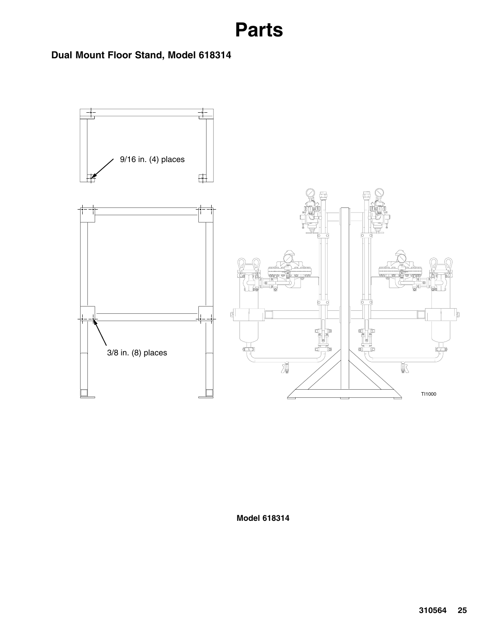**Dual Mount Floor Stand, Model 618314**



**Model 618314**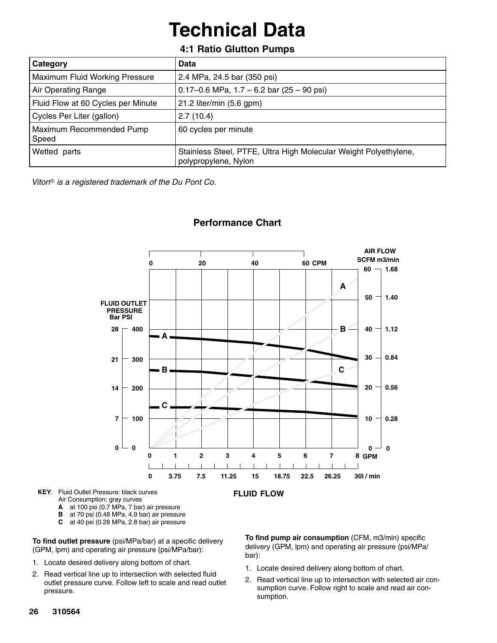# **Technical Data**

### **4:1 Ratio Glutton Pumps**

| Category                           | Data                                                                                     |
|------------------------------------|------------------------------------------------------------------------------------------|
| Maximum Fluid Working Pressure     | 2.4 MPa, 24.5 bar (350 psi)                                                              |
| Air Operating Range                | 0.17-0.6 MPa, $1.7 - 6.2$ bar (25 - 90 psi)                                              |
| Fluid Flow at 60 Cycles per Minute | 21.2 liter/min (5.6 gpm)                                                                 |
| Cycles Per Liter (gallon)          | 2.7(10.4)                                                                                |
| Maximum Recommended Pump<br>Speed  | 60 cycles per minute                                                                     |
| Wetted parts                       | Stainless Steel, PTFE, Ultra High Molecular Weight Polyethylene,<br>polypropylene, Nylon |

 *Viton is a registered trademark of the Du Pont Co.*



### **Performance Chart**

**KEY**: Fluid Outlet Pressure: black curves Air Consumption: gray curves

- **A** at 100 psi (0.7 MPa, 7 bar) air pressure
- 
- **B** at 70 psi (0.48 MPa, 4.9 bar) air pressure<br>**C** at 40 psi (0.28 MPa, 2.8 bar) air pressure **C** at 40 psi (0.28 MPa, 2.8 bar) air pressure

**To find outlet pressure** (psi/MPa/bar) at a specific delivery (GPM, lpm) and operating air pressure (psi/MPa/bar):

- 1. Locate desired delivery along bottom of chart.
- 2. Read vertical line up to intersection with selected fluid outlet pressure curve. Follow left to scale and read outlet pressure.

**To find pump air consumption** (CFM, m3/min) specific delivery (GPM, lpm) and operating air pressure (psi/MPa/ bar):

- 1. Locate desired delivery along bottom of chart.
- 2. Read vertical line up to intersection with selected air consumption curve. Follow right to scale and read air consumption.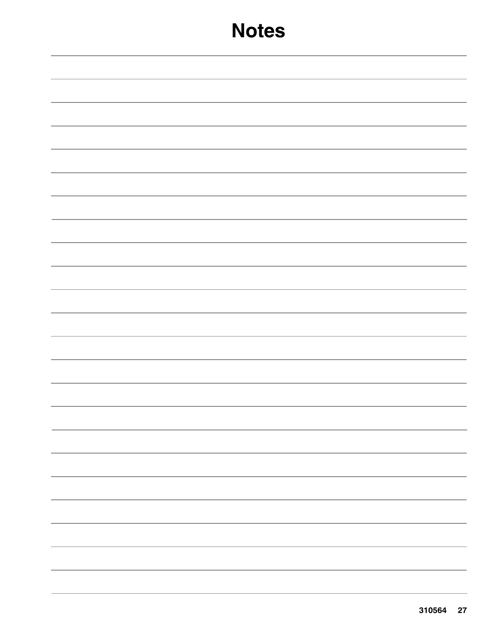## **Notes**

|  | $\overline{\phantom{a}}$ . The contract of $\overline{\phantom{a}}$ |
|--|---------------------------------------------------------------------|
|  |                                                                     |
|  |                                                                     |
|  |                                                                     |
|  |                                                                     |
|  |                                                                     |
|  |                                                                     |
|  |                                                                     |
|  |                                                                     |
|  |                                                                     |
|  |                                                                     |
|  |                                                                     |
|  |                                                                     |
|  |                                                                     |
|  |                                                                     |
|  |                                                                     |
|  |                                                                     |
|  |                                                                     |
|  |                                                                     |
|  |                                                                     |
|  |                                                                     |
|  |                                                                     |
|  |                                                                     |
|  |                                                                     |
|  |                                                                     |
|  |                                                                     |
|  |                                                                     |
|  |                                                                     |
|  |                                                                     |
|  |                                                                     |
|  |                                                                     |
|  |                                                                     |
|  |                                                                     |
|  |                                                                     |
|  |                                                                     |
|  |                                                                     |
|  |                                                                     |
|  |                                                                     |
|  |                                                                     |
|  |                                                                     |
|  |                                                                     |
|  |                                                                     |
|  |                                                                     |
|  |                                                                     |
|  |                                                                     |
|  |                                                                     |
|  |                                                                     |
|  |                                                                     |
|  |                                                                     |
|  |                                                                     |
|  |                                                                     |
|  |                                                                     |
|  |                                                                     |
|  |                                                                     |
|  |                                                                     |
|  |                                                                     |
|  |                                                                     |
|  |                                                                     |
|  |                                                                     |
|  |                                                                     |
|  |                                                                     |
|  |                                                                     |
|  |                                                                     |
|  |                                                                     |
|  |                                                                     |
|  |                                                                     |
|  |                                                                     |
|  |                                                                     |
|  |                                                                     |
|  |                                                                     |
|  |                                                                     |
|  |                                                                     |
|  |                                                                     |
|  |                                                                     |
|  |                                                                     |
|  |                                                                     |
|  |                                                                     |
|  |                                                                     |
|  |                                                                     |
|  |                                                                     |
|  |                                                                     |
|  |                                                                     |
|  |                                                                     |
|  |                                                                     |
|  |                                                                     |
|  |                                                                     |
|  |                                                                     |
|  |                                                                     |
|  |                                                                     |
|  |                                                                     |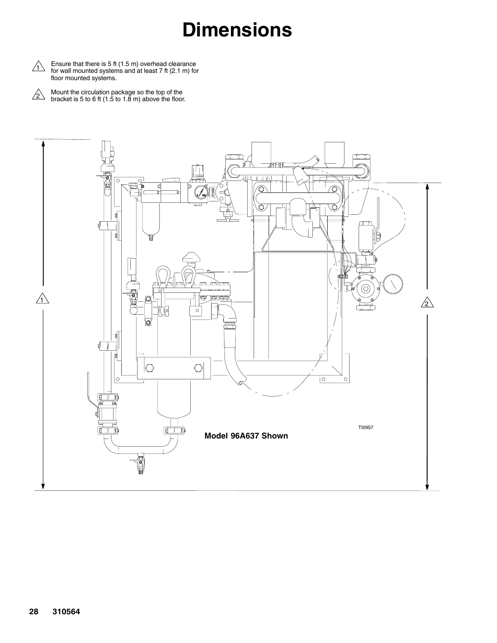# **Dimensions**

 $\begin{array}{ll} \bigwedge & \text{Ensure that there is 5 ft (1.5 m) overhead clearance \\ \text{for wall mounted systems and at least 7 ft (2.1 m) for } \end{array}$ floor mounted systems.

Mount the circulation package so the top of the bracket is 5 to 6 ft (1.5 to 1.8 m) above the floor.  $\sqrt{2}$ 

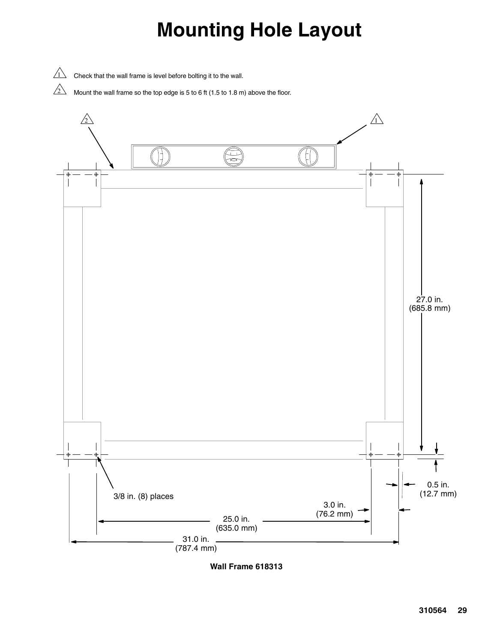# **Mounting Hole Layout**

 $\sqrt{1}$  Check that the wall frame is level before bolting it to the wall.

 $\sqrt{2}$  Mount the wall frame so the top edge is 5 to 6 ft (1.5 to 1.8 m) above the floor.



**Wall Frame 618313**